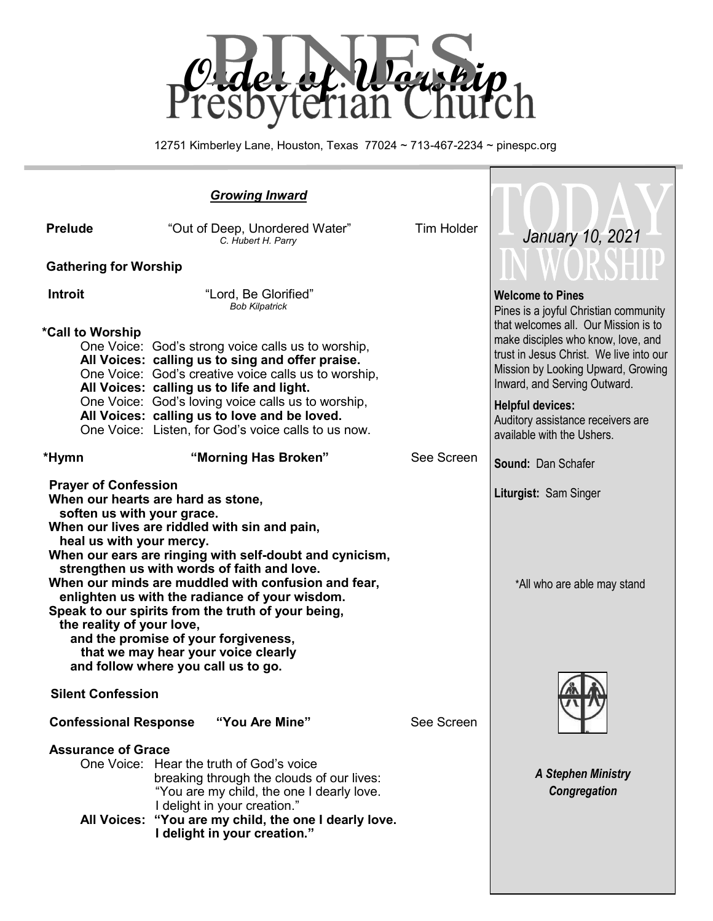

12751 Kimberley Lane, Houston, Texas 77024 ~ 713-467-2234 ~ pinespc.org

٦

| <b>Prelude</b>                                                                                                     | "Out of Deep, Unordered Water"<br>C. Hubert H. Parry                                                                                                                                                                                                                                                                                                                                                                                                                               | <b>Tim Holder</b> | January 10, 2021                                                                                                                                                                            |  |
|--------------------------------------------------------------------------------------------------------------------|------------------------------------------------------------------------------------------------------------------------------------------------------------------------------------------------------------------------------------------------------------------------------------------------------------------------------------------------------------------------------------------------------------------------------------------------------------------------------------|-------------------|---------------------------------------------------------------------------------------------------------------------------------------------------------------------------------------------|--|
| <b>Gathering for Worship</b>                                                                                       |                                                                                                                                                                                                                                                                                                                                                                                                                                                                                    |                   |                                                                                                                                                                                             |  |
| Introit                                                                                                            | "Lord, Be Glorified"<br><b>Bob Kilpatrick</b>                                                                                                                                                                                                                                                                                                                                                                                                                                      |                   | <b>Welcome to Pines</b><br>Pines is a joyful Christian community                                                                                                                            |  |
| *Call to Worship                                                                                                   | One Voice: God's strong voice calls us to worship,<br>All Voices: calling us to sing and offer praise.<br>One Voice: God's creative voice calls us to worship,<br>All Voices: calling us to life and light.                                                                                                                                                                                                                                                                        |                   | that welcomes all. Our Mission is to<br>make disciples who know, love, and<br>trust in Jesus Christ. We live into our<br>Mission by Looking Upward, Growing<br>Inward, and Serving Outward. |  |
|                                                                                                                    | One Voice: God's loving voice calls us to worship,<br>All Voices: calling us to love and be loved.<br>One Voice: Listen, for God's voice calls to us now.                                                                                                                                                                                                                                                                                                                          |                   | <b>Helpful devices:</b><br>Auditory assistance receivers are<br>available with the Ushers.                                                                                                  |  |
| *Hymn                                                                                                              | "Morning Has Broken"                                                                                                                                                                                                                                                                                                                                                                                                                                                               | See Screen        | <b>Sound: Dan Schafer</b>                                                                                                                                                                   |  |
| <b>Prayer of Confession</b><br>soften us with your grace.<br>heal us with your mercy.<br>the reality of your love, | When our hearts are hard as stone,<br>When our lives are riddled with sin and pain,<br>When our ears are ringing with self-doubt and cynicism,<br>strengthen us with words of faith and love.<br>When our minds are muddled with confusion and fear,<br>enlighten us with the radiance of your wisdom.<br>Speak to our spirits from the truth of your being,<br>and the promise of your forgiveness,<br>that we may hear your voice clearly<br>and follow where you call us to go. |                   | Liturgist: Sam Singer<br>*All who are able may stand                                                                                                                                        |  |
| <b>Silent Confession</b><br><b>Confessional Response</b><br>"You Are Mine"                                         |                                                                                                                                                                                                                                                                                                                                                                                                                                                                                    |                   |                                                                                                                                                                                             |  |
| <b>Assurance of Grace</b>                                                                                          | One Voice: Hear the truth of God's voice<br>breaking through the clouds of our lives:<br>"You are my child, the one I dearly love.                                                                                                                                                                                                                                                                                                                                                 | See Screen        | <b>A Stephen Ministry</b><br>Congregation                                                                                                                                                   |  |
| <b>All Voices:</b>                                                                                                 | I delight in your creation."<br>"You are my child, the one I dearly love.<br>I delight in your creation."                                                                                                                                                                                                                                                                                                                                                                          |                   |                                                                                                                                                                                             |  |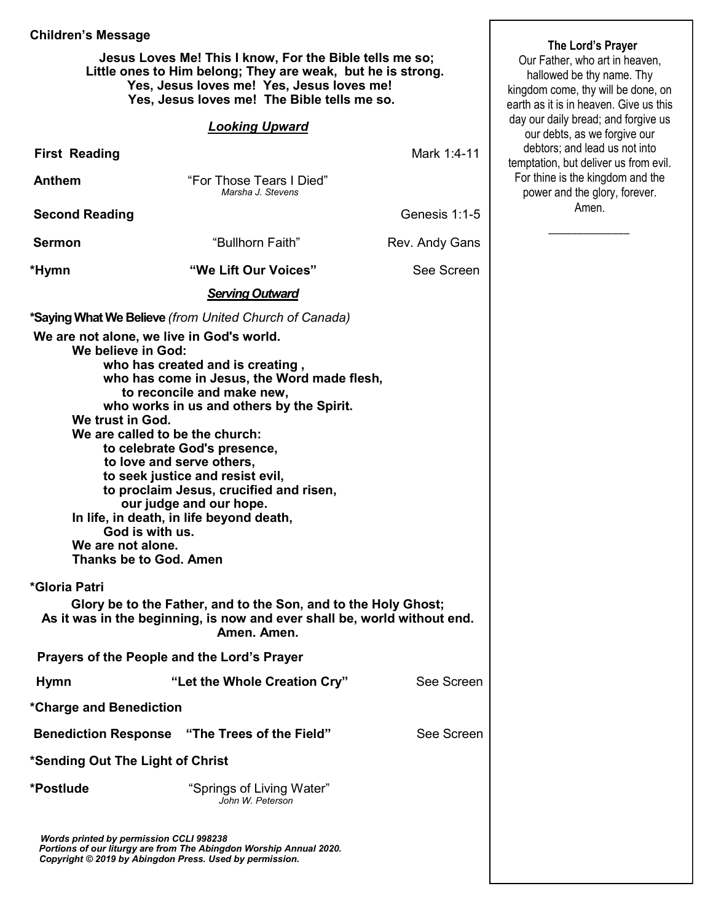### **Children's Message**

 **Jesus Loves Me! This I know, For the Bible tells me so; Little ones to Him belong; They are weak, but he is strong. Yes, Jesus loves me! Yes, Jesus loves me! Yes, Jesus loves me! The Bible tells me so.** 

### *Looking Upward*

| <b>First Reading</b>                                                                                                                               |                                                                                                                                                                                                                                                                                                                                                                               | Mark 1:4-11    | debtors; and lead us no<br>temptation, but deliver us |  |  |
|----------------------------------------------------------------------------------------------------------------------------------------------------|-------------------------------------------------------------------------------------------------------------------------------------------------------------------------------------------------------------------------------------------------------------------------------------------------------------------------------------------------------------------------------|----------------|-------------------------------------------------------|--|--|
| <b>Anthem</b>                                                                                                                                      | "For Those Tears I Died"<br>Marsha J. Stevens                                                                                                                                                                                                                                                                                                                                 |                |                                                       |  |  |
| <b>Second Reading</b>                                                                                                                              |                                                                                                                                                                                                                                                                                                                                                                               | Genesis 1:1-5  | Amen.                                                 |  |  |
| <b>Sermon</b>                                                                                                                                      | "Bullhorn Faith"                                                                                                                                                                                                                                                                                                                                                              | Rev. Andy Gans |                                                       |  |  |
| *Hymn                                                                                                                                              | "We Lift Our Voices"                                                                                                                                                                                                                                                                                                                                                          | See Screen     |                                                       |  |  |
|                                                                                                                                                    | <b>Serving Outward</b>                                                                                                                                                                                                                                                                                                                                                        |                |                                                       |  |  |
| We are not alone, we live in God's world.                                                                                                          | *Saying What We Believe (from United Church of Canada)                                                                                                                                                                                                                                                                                                                        |                |                                                       |  |  |
| We believe in God:<br>We trust in God.<br>We are called to be the church:<br>God is with us.<br>We are not alone.<br><b>Thanks be to God. Amen</b> | who has created and is creating,<br>who has come in Jesus, the Word made flesh,<br>to reconcile and make new,<br>who works in us and others by the Spirit.<br>to celebrate God's presence,<br>to love and serve others,<br>to seek justice and resist evil,<br>to proclaim Jesus, crucified and risen,<br>our judge and our hope.<br>In life, in death, in life beyond death, |                |                                                       |  |  |
| *Gloria Patri                                                                                                                                      |                                                                                                                                                                                                                                                                                                                                                                               |                |                                                       |  |  |
|                                                                                                                                                    | Glory be to the Father, and to the Son, and to the Holy Ghost;<br>As it was in the beginning, is now and ever shall be, world without end.<br>Amen. Amen.                                                                                                                                                                                                                     |                |                                                       |  |  |
| Prayers of the People and the Lord's Prayer                                                                                                        |                                                                                                                                                                                                                                                                                                                                                                               |                |                                                       |  |  |
| <b>Hymn</b>                                                                                                                                        | "Let the Whole Creation Cry"                                                                                                                                                                                                                                                                                                                                                  | See Screen     |                                                       |  |  |
| *Charge and Benediction                                                                                                                            |                                                                                                                                                                                                                                                                                                                                                                               |                |                                                       |  |  |
| <b>Benediction Response</b>                                                                                                                        | "The Trees of the Field"                                                                                                                                                                                                                                                                                                                                                      | See Screen     |                                                       |  |  |
| *Sending Out The Light of Christ                                                                                                                   |                                                                                                                                                                                                                                                                                                                                                                               |                |                                                       |  |  |
| *Postlude                                                                                                                                          | "Springs of Living Water"<br>John W. Peterson                                                                                                                                                                                                                                                                                                                                 |                |                                                       |  |  |
| <b>Words printed by permission CCLI 998238</b><br>Copyright © 2019 by Abingdon Press. Used by permission.                                          | Portions of our liturgy are from The Abingdon Worship Annual 2020.                                                                                                                                                                                                                                                                                                            |                |                                                       |  |  |

## **The Lord's Prayer**

Our Father, who art in heaven, hallowed be thy name. Thy kingdom come, thy will be done, on earth as it is in heaven. Give us this day our daily bread; and forgive us our debts, as we forgive our debtors; and lead us not into ptation, but deliver us from evil. or thine is the kingdom and the power and the glory, forever. Amen.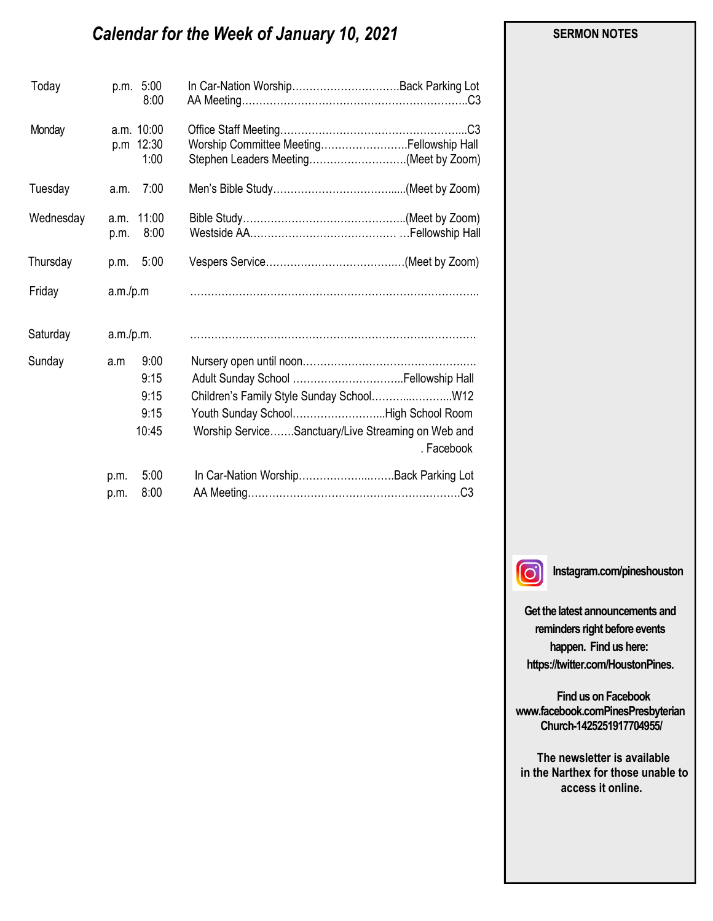# *Calendar for the Week of January 10, 2021*

| Today     |              | p.m. 5:00<br>8:00               | In Car-Nation WorshipBack Parking Lot                                             |            |
|-----------|--------------|---------------------------------|-----------------------------------------------------------------------------------|------------|
| Monday    |              | a.m. 10:00<br>p.m 12:30<br>1:00 | Worship Committee MeetingFellowship Hall<br>Stephen Leaders Meeting(Meet by Zoom) |            |
| Tuesday   | a.m.         | 7:00                            |                                                                                   |            |
| Wednesday | a.m.<br>p.m. | 11:00<br>8:00                   |                                                                                   |            |
| Thursday  | p.m.         | 5:00                            |                                                                                   |            |
| Friday    | a.m./p.m     |                                 |                                                                                   |            |
| Saturday  | a.m./p.m.    |                                 |                                                                                   |            |
| Sunday    | a.m          | 9:00                            |                                                                                   |            |
|           |              | 9:15                            |                                                                                   |            |
|           |              | 9:15                            | Children's Family Style Sunday School W12                                         |            |
|           |              | 9:15                            | Youth Sunday SchoolHigh School Room                                               |            |
|           |              | 10:45                           | Worship ServiceSanctuary/Live Streaming on Web and                                | . Facebook |
|           | p.m.         | 5:00                            | In Car-Nation WorshipBack Parking Lot                                             |            |
|           | p.m.         | 8:00                            |                                                                                   |            |

 $\lbrack \odot \rbrack$ 

**Instagram.com/pineshouston**

**Get the latest announcements and reminders right before events happen. Find us here: https://twitter.com/HoustonPines.** 

 **Find us on Facebook www.facebook.comPinesPresbyterian Church-1425251917704955/**

 **The newsletter is available in the Narthex for those unable to access it online.**

### **SERMON NOTES**